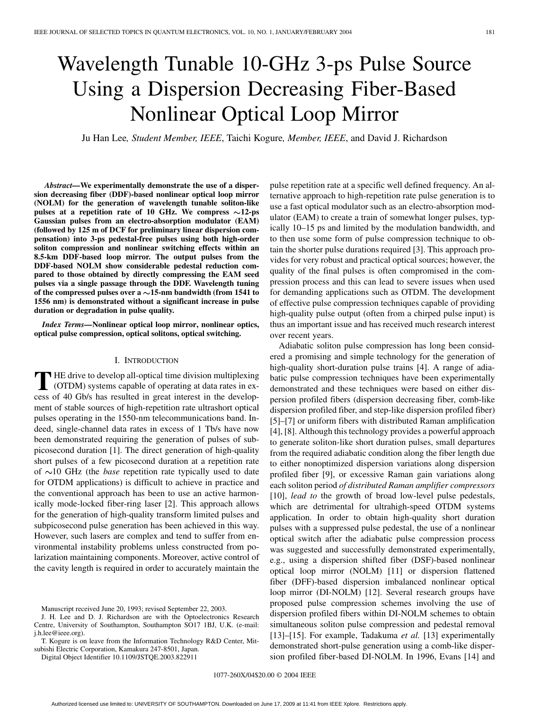# Wavelength Tunable 10-GHz 3-ps Pulse Source Using a Dispersion Decreasing Fiber-Based Nonlinear Optical Loop Mirror

Ju Han Lee*, Student Member, IEEE*, Taichi Kogure*, Member, IEEE*, and David J. Richardson

*Abstract—***We experimentally demonstrate the use of a dispersion decreasing fiber (DDF)-based nonlinear optical loop mirror (NOLM) for the generation of wavelength tunable soliton-like** pulses at a repetition rate of 10 GHz. We compress  $\sim$ 12-ps **Gaussian pulses from an electro-absorption modulator (EAM) (followed by 125 m of DCF for preliminary linear dispersion compensation) into 3-ps pedestal-free pulses using both high-order soliton compression and nonlinear switching effects within an 8.5-km DDF-based loop mirror. The output pulses from the DDF-based NOLM show considerable pedestal reduction compared to those obtained by directly compressing the EAM seed pulses via a single passage through the DDF. Wavelength tuning** of the compressed pulses over a  $\sim$ 15-nm bandwidth (from 1541 to **1556 nm) is demonstrated without a significant increase in pulse duration or degradation in pulse quality.**

*Index Terms—***Nonlinear optical loop mirror, nonlinear optics, optical pulse compression, optical solitons, optical switching.**

#### I. INTRODUCTION

**T** HE drive to develop all-optical time division multiplexing<br>(OTDM) systems capable of operating at data rates in ex-<br>asses of 40 Ch/s has goulted in great interest in the daughtan cess of 40 Gb/s has resulted in great interest in the development of stable sources of high-repetition rate ultrashort optical pulses operating in the 1550-nm telecommunications band. Indeed, single-channel data rates in excess of 1 Tb/s have now been demonstrated requiring the generation of pulses of subpicosecond duration [[1\]](#page-4-0). The direct generation of high-quality short pulses of a few picosecond duration at a repetition rate of  $\sim$ 10 GHz (the *base* repetition rate typically used to date for OTDM applications) is difficult to achieve in practice and the conventional approach has been to use an active harmonically mode-locked fiber-ring laser [\[2](#page-4-0)]. This approach allows for the generation of high-quality transform limited pulses and subpicosecond pulse generation has been achieved in this way. However, such lasers are complex and tend to suffer from environmental instability problems unless constructed from polarization maintaining components. Moreover, active control of the cavity length is required in order to accurately maintain the

Digital Object Identifier 10.1109/JSTQE.2003.822911

pulse repetition rate at a specific well defined frequency. An alternative approach to high-repetition rate pulse generation is to use a fast optical modulator such as an electro-absorption modulator (EAM) to create a train of somewhat longer pulses, typically 10–15 ps and limited by the modulation bandwidth, and to then use some form of pulse compression technique to obtain the shorter pulse durations required [[3\]](#page-4-0). This approach provides for very robust and practical optical sources; however, the quality of the final pulses is often compromised in the compression process and this can lead to severe issues when used for demanding applications such as OTDM. The development of effective pulse compression techniques capable of providing high-quality pulse output (often from a chirped pulse input) is thus an important issue and has received much research interest over recent years.

Adiabatic soliton pulse compression has long been considered a promising and simple technology for the generation of high-quality short-duration pulse trains [\[4](#page-4-0)]. A range of adiabatic pulse compression techniques have been experimentally demonstrated and these techniques were based on either dispersion profiled fibers (dispersion decreasing fiber, comb-like dispersion profiled fiber, and step-like dispersion profiled fiber) [\[5](#page-4-0)]–[\[7](#page-4-0)] or uniform fibers with distributed Raman amplification [\[4](#page-4-0)], [[8\]](#page-4-0). Although this technology provides a powerful approach to generate soliton-like short duration pulses, small departures from the required adiabatic condition along the fiber length due to either nonoptimized dispersion variations along dispersion profiled fiber [\[9\]](#page-4-0), or excessive Raman gain variations along each soliton period *of distributed Raman amplifier compressors* [\[10](#page-4-0)], *lead to* the growth of broad low-level pulse pedestals, which are detrimental for ultrahigh-speed OTDM systems application. In order to obtain high-quality short duration pulses with a suppressed pulse pedestal, the use of a nonlinear optical switch after the adiabatic pulse compression process was suggested and successfully demonstrated experimentally, e.g., using a dispersion shifted fiber (DSF)-based nonlinear optical loop mirror (NOLM) [[11\]](#page-4-0) or dispersion flattened fiber (DFF)-based dispersion imbalanced nonlinear optical loop mirror (DI-NOLM) [[12\]](#page-4-0). Several research groups have proposed pulse compression schemes involving the use of dispersion profiled fibers within DI-NOLM schemes to obtain simultaneous soliton pulse compression and pedestal removal [\[13](#page-4-0)]–[\[15\]](#page-4-0). For example, Tadakuma *et al.* [[13\]](#page-4-0) experimentally demonstrated short-pulse generation using a comb-like dispersion profiled fiber-based DI-NOLM. In 1996, Evans [\[14](#page-4-0)] and

1077-260X/04\$20.00 © 2004 IEEE

Manuscript received June 20, 1993; revised September 22, 2003.

J. H. Lee and D. J. Richardson are with the Optoelectronics Research Centre, University of Southampton, Southampton SO17 1BJ, U.K. (e-mail: j.h.lee@ieee.org).

T. Kogure is on leave from the Information Technology R&D Center, Mitsubishi Electric Corporation, Kamakura 247-8501, Japan.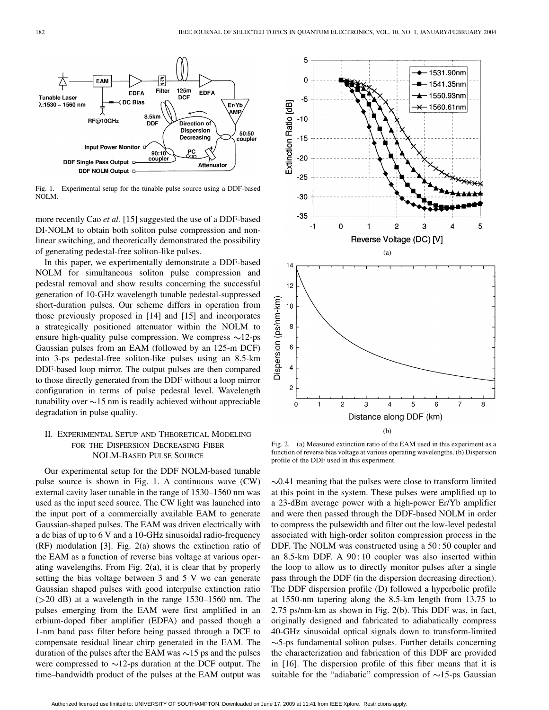

Fig. 1. Experimental setup for the tunable pulse source using a DDF-based NOLM.

more recently Cao *et al.* [\[15](#page-4-0)] suggested the use of a DDF-based DI-NOLM to obtain both soliton pulse compression and nonlinear switching, and theoretically demonstrated the possibility of generating pedestal-free soliton-like pulses.

In this paper, we experimentally demonstrate a DDF-based NOLM for simultaneous soliton pulse compression and pedestal removal and show results concerning the successful generation of 10-GHz wavelength tunable pedestal-suppressed short-duration pulses. Our scheme differs in operation from those previously proposed in [\[14](#page-4-0)] and [[15\]](#page-4-0) and incorporates a strategically positioned attenuator within the NOLM to ensure high-quality pulse compression. We compress  $\sim$ 12-ps Gaussian pulses from an EAM (followed by an 125-m DCF) into 3-ps pedestal-free soliton-like pulses using an 8.5-km DDF-based loop mirror. The output pulses are then compared to those directly generated from the DDF without a loop mirror configuration in terms of pulse pedestal level. Wavelength tunability over  $\sim$ 15 nm is readily achieved without appreciable degradation in pulse quality.

## II. EXPERIMENTAL SETUP AND THEORETICAL MODELING FOR THE DISPERSION DECREASING FIBER NOLM-BASED PULSE SOURCE

Our experimental setup for the DDF NOLM-based tunable pulse source is shown in Fig. 1. A continuous wave (CW) external cavity laser tunable in the range of 1530–1560 nm was used as the input seed source. The CW light was launched into the input port of a commercially available EAM to generate Gaussian-shaped pulses. The EAM was driven electrically with a dc bias of up to 6 V and a 10-GHz sinusoidal radio-frequency (RF) modulation [[3](#page-4-0)]. Fig. 2(a) shows the extinction ratio of the EAM as a function of reverse bias voltage at various operating wavelengths. From Fig. 2(a), it is clear that by properly setting the bias voltage between 3 and 5 V we can generate Gaussian shaped pulses with good interpulse extinction ratio  $( > 20$  dB) at a wavelength in the range 1530–1560 nm. The pulses emerging from the EAM were first amplified in an erbium-doped fiber amplifier (EDFA) and passed though a 1-nm band pass filter before being passed through a DCF to compensate residual linear chirp generated in the EAM. The duration of the pulses after the EAM was  $\sim$ 15 ps and the pulses were compressed to  $\sim$ 12-ps duration at the DCF output. The time–bandwidth product of the pulses at the EAM output was



Fig. 2. (a) Measured extinction ratio of the EAM used in this experiment as a function of reverse bias voltage at various operating wavelengths. (b) Dispersion profile of the DDF used in this experiment.

 $\sim$ 0.41 meaning that the pulses were close to transform limited at this point in the system. These pulses were amplified up to a 23-dBm average power with a high-power Er/Yb amplifier and were then passed through the DDF-based NOLM in order to compress the pulsewidth and filter out the low-level pedestal associated with high-order soliton compression process in the DDF. The NOLM was constructed using a 50 : 50 coupler and an 8.5-km DDF. A 90 : 10 coupler was also inserted within the loop to allow us to directly monitor pulses after a single pass through the DDF (in the dispersion decreasing direction). The DDF dispersion profile (D) followed a hyperbolic profile at 1550-nm tapering along the 8.5-km length from 13.75 to 2.75 ps/nm-km as shown in Fig. 2(b). This DDF was, in fact, originally designed and fabricated to adiabatically compress 40-GHz sinusoidal optical signals down to transform-limited  $\sim$ 5-ps fundamental soliton pulses. Further details concerning the characterization and fabrication of this DDF are provided in [\[16\]](#page-4-0). The dispersion profile of this fiber means that it is suitable for the "adiabatic" compression of  $\sim$ 15-ps Gaussian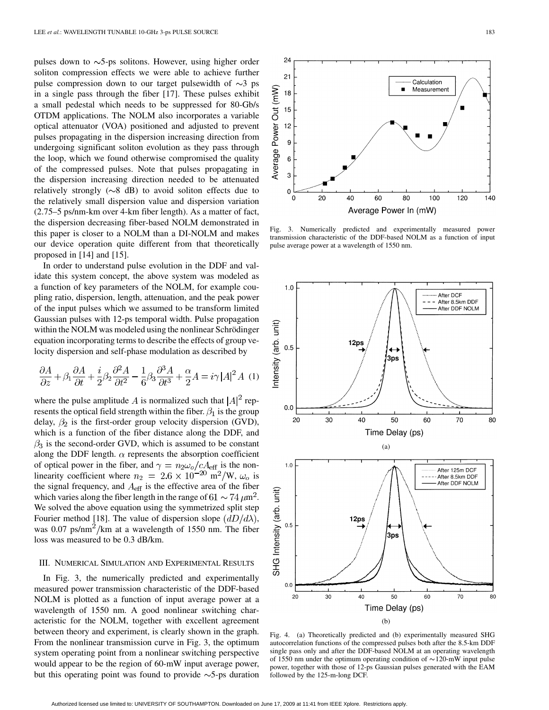pulses down to  $\sim$ 5-ps solitons. However, using higher order soliton compression effects we were able to achieve further pulse compression down to our target pulsewidth of  $\sim$ 3 ps in a single pass through the fiber [[17\]](#page-4-0). These pulses exhibit a small pedestal which needs to be suppressed for 80-Gb/s OTDM applications. The NOLM also incorporates a variable optical attenuator (VOA) positioned and adjusted to prevent pulses propagating in the dispersion increasing direction from undergoing significant soliton evolution as they pass through the loop, which we found otherwise compromised the quality of the compressed pulses. Note that pulses propagating in the dispersion increasing direction needed to be attenuated relatively strongly ( $\sim$ 8 dB) to avoid soliton effects due to the relatively small dispersion value and dispersion variation (2.75–5 ps/nm-km over 4-km fiber length). As a matter of fact, the dispersion decreasing fiber-based NOLM demonstrated in this paper is closer to a NOLM than a DI-NOLM and makes our device operation quite different from that theoretically proposed in [\[14](#page-4-0)] and [\[15](#page-4-0)].

In order to understand pulse evolution in the DDF and validate this system concept, the above system was modeled as a function of key parameters of the NOLM, for example coupling ratio, dispersion, length, attenuation, and the peak power of the input pulses which we assumed to be transform limited Gaussian pulses with 12-ps temporal width. Pulse propagation within the NOLM was modeled using the nonlinear Schrödinger equation incorporating terms to describe the effects of group velocity dispersion and self-phase modulation as described by

$$
\frac{\partial A}{\partial z} + \beta_1 \frac{\partial A}{\partial t} + \frac{i}{2} \beta_2 \frac{\partial^2 A}{\partial t^2} - \frac{1}{6} \beta_3 \frac{\partial^3 A}{\partial t^3} + \frac{\alpha}{2} A = i \gamma |A|^2 A
$$
 (1)

where the pulse amplitude A is normalized such that  $|A|^2$  represents the optical field strength within the fiber.  $\beta_1$  is the group delay,  $\beta_2$  is the first-order group velocity dispersion (GVD), which is a function of the fiber distance along the DDF, and  $\beta_3$  is the second-order GVD, which is assumed to be constant along the DDF length.  $\alpha$  represents the absorption coefficient of optical power in the fiber, and  $\gamma = n_2 \omega_o/cA_{\text{eff}}$  is the nonlinearity coefficient where  $n_2 = 2.6 \times 10^{-20} \text{ m}^2/\text{W}$ ,  $\omega_o$  is the signal frequency, and  $A_{\text{eff}}$  is the effective area of the fiber which varies along the fiber length in the range of  $61 \sim 74 \,\mu\text{m}^2$ . We solved the above equation using the symmetrized split step Fourier method [[18\]](#page-4-0). The value of dispersion slope  $(dD/d\lambda)$ , was  $0.07 \text{ ps/nm}^2/\text{km}$  at a wavelength of 1550 nm. The fiber loss was measured to be 0.3 dB/km.

### III. NUMERICAL SIMULATION AND EXPERIMENTAL RESULTS

In Fig. 3, the numerically predicted and experimentally measured power transmission characteristic of the DDF-based NOLM is plotted as a function of input average power at a wavelength of 1550 nm. A good nonlinear switching characteristic for the NOLM, together with excellent agreement between theory and experiment, is clearly shown in the graph. From the nonlinear transmission curve in Fig. 3, the optimum system operating point from a nonlinear switching perspective would appear to be the region of 60-mW input average power, but this operating point was found to provide  $\sim$ 5-ps duration



Fig. 3. Numerically predicted and experimentally measured power transmission characteristic of the DDF-based NOLM as a function of input pulse average power at a wavelength of 1550 nm.



Fig. 4. (a) Theoretically predicted and (b) experimentally measured SHG autocorrelation functions of the compressed pulses both after the 8.5-km DDF single pass only and after the DDF-based NOLM at an operating wavelength of 1550 nm under the optimum operating condition of  $\sim$  120-mW input pulse power, together with those of 12-ps Gaussian pulses generated with the EAM followed by the 125-m-long DCF.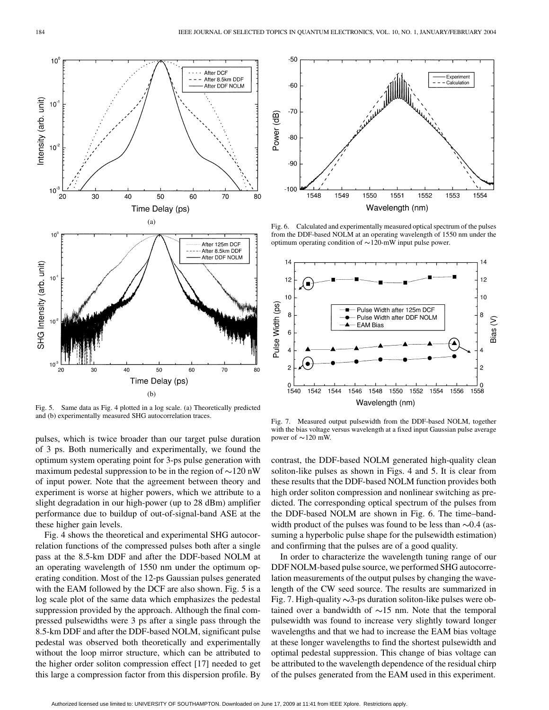

Fig. 5. Same data as Fig. 4 plotted in a log scale. (a) Theoretically predicted and (b) experimentally measured SHG autocorrelation traces.

pulses, which is twice broader than our target pulse duration of 3 ps. Both numerically and experimentally, we found the optimum system operating point for 3-ps pulse generation with maximum pedestal suppression to be in the region of  $\sim$ 120 nW of input power. Note that the agreement between theory and experiment is worse at higher powers, which we attribute to a slight degradation in our high-power (up to 28 dBm) amplifier performance due to buildup of out-of-signal-band ASE at the these higher gain levels.

Fig. 4 shows the theoretical and experimental SHG autocorrelation functions of the compressed pulses both after a single pass at the 8.5-km DDF and after the DDF-based NOLM at an operating wavelength of 1550 nm under the optimum operating condition. Most of the 12-ps Gaussian pulses generated with the EAM followed by the DCF are also shown. Fig. 5 is a log scale plot of the same data which emphasizes the pedestal suppression provided by the approach. Although the final compressed pulsewidths were 3 ps after a single pass through the 8.5-km DDF and after the DDF-based NOLM, significant pulse pedestal was observed both theoretically and experimentally without the loop mirror structure, which can be attributed to the higher order soliton compression effect [[17\]](#page-4-0) needed to get this large a compression factor from this dispersion profile. By



Fig. 6. Calculated and experimentally measured optical spectrum of the pulses from the DDF-based NOLM at an operating wavelength of 1550 nm under the optimum operating condition of  $\sim$  120-mW input pulse power.



Fig. 7. Measured output pulsewidth from the DDF-based NOLM, together with the bias voltage versus wavelength at a fixed input Gaussian pulse average power of  $\sim$  120 mW.

contrast, the DDF-based NOLM generated high-quality clean soliton-like pulses as shown in Figs. 4 and 5. It is clear from these results that the DDF-based NOLM function provides both high order soliton compression and nonlinear switching as predicted. The corresponding optical spectrum of the pulses from the DDF-based NOLM are shown in Fig. 6. The time–bandwidth product of the pulses was found to be less than  $\sim 0.4$  (assuming a hyperbolic pulse shape for the pulsewidth estimation) and confirming that the pulses are of a good quality.

In order to characterize the wavelength tuning range of our DDF NOLM-based pulse source, we performed SHG autocorrelation measurements of the output pulses by changing the wavelength of the CW seed source. The results are summarized in Fig. 7. High-quality  $\sim$ 3-ps duration soliton-like pulses were obtained over a bandwidth of  $\sim$ 15 nm. Note that the temporal pulsewidth was found to increase very slightly toward longer wavelengths and that we had to increase the EAM bias voltage at these longer wavelengths to find the shortest pulsewidth and optimal pedestal suppression. This change of bias voltage can be attributed to the wavelength dependence of the residual chirp of the pulses generated from the EAM used in this experiment.